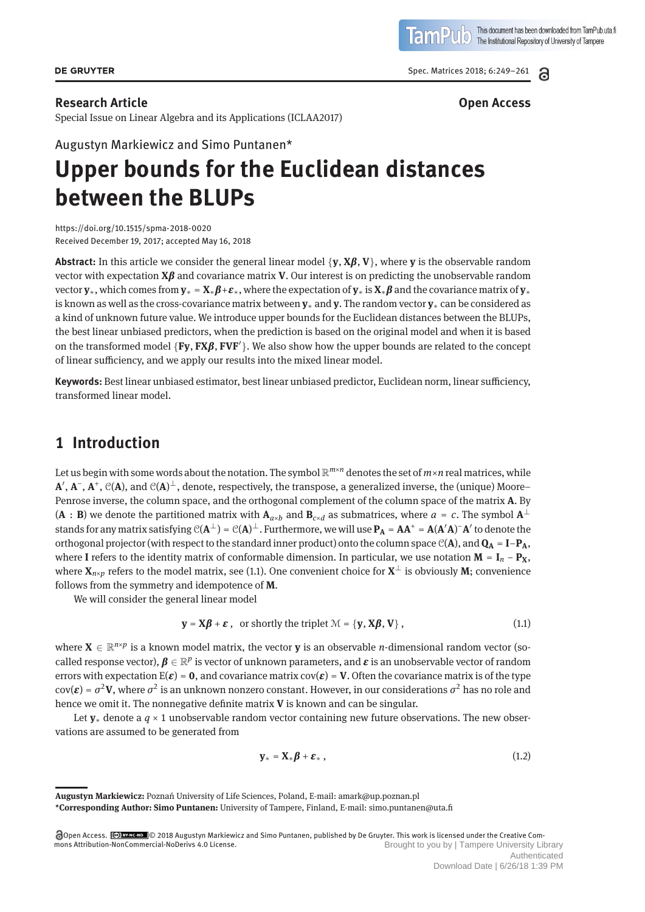Spec. Matrices 2018; 6:249–261

#### **Research Article Open Access**

Special Issue on Linear Algebra and its Applications (ICLAA2017)

Augustyn Markiewicz and Simo Puntanen\*

# **Upper bounds for the Euclidean distances between the BLUPs**

https://doi.org/10.1515/spma-2018-0020 Received December 19, 2017; accepted May 16, 2018

**Abstract:** In this article we consider the general linear model {**y**, **<sup>X</sup>***β*, **<sup>V</sup>**}, where **<sup>y</sup>** is the observable random vector with expectation **X***β* and covariance matrix **V**. Our interest is on predicting the unobservable random vector **<sup>y</sup>**∗, which comes from **<sup>y</sup>**<sup>∗</sup> <sup>=</sup> **<sup>X</sup>**∗*β*+*ε*∗, where the expectation of **<sup>y</sup>**<sup>∗</sup> is**X**∗*<sup>β</sup>* and the covariance matrix of **<sup>y</sup>**<sup>∗</sup> is known as well as the cross-covariance matrix between **y**<sup>∗</sup> and **y**. The random vector **y**<sup>∗</sup> can be considered as a kind of unknown future value. We introduce upper bounds for the Euclidean distances between the BLUPs, the best linear unbiased predictors, when the prediction is based on the original model and when it is based on the transformed model {**Fy**, **FX***β*, **FVF** }. We also show how the upper bounds are related to the concept of linear sufficiency, and we apply our results into the mixed linear model.

**Keywords:** Best linear unbiased estimator, best linear unbiased predictor, Euclidean norm, linear sufficiency, transformed linear model.

### **1 Introduction**

Let us begin with some words about the notation. The symbol  $\mathbb{R}^{m \times n}$  denotes the set of  $m \times n$  real matrices, while **A** , **A**−, **A**+, C(**A**), and C(**A**) ⊥, denote, respectively, the transpose, a generalized inverse, the (unique) Moore– Penrose inverse, the column space, and the orthogonal complement of the column space of the matrix **A**. By  $(A : B)$  we denote the partitioned matrix with  $A_{a \times b}$  and  $B_{c \times d}$  as submatrices, where  $a = c$ . The symbol  $A^{\perp}$ stands for any matrix satisfying  $C(A^{\perp}) = C(A)^{\perp}$  . Furthermore, we will use  $P_A = AA^+ = A(A'A)^-A'$  to denote the orthogonal projector (with respect to the standard inner product) onto the column space  $C(A)$ , and  $Q_A = I - P_A$ , where **I** refers to the identity matrix of conformable dimension. In particular, we use notation  $M = I_n - P_X$ , where  $\mathbf{X}_{n\times p}$  refers to the model matrix, see (1.1). One convenient choice for  $\mathbf{X}^{\perp}$  is obviously **M**; convenience follows from the symmetry and idempotence of **M**.

We will consider the general linear model

$$
\mathbf{y} = \mathbf{X}\boldsymbol{\beta} + \boldsymbol{\varepsilon} \,, \text{ or shortly the triplet } \mathcal{M} = \{\mathbf{y}, \mathbf{X}\boldsymbol{\beta}, \mathbf{V}\} \,, \tag{1.1}
$$

where  $X \in \mathbb{R}^{n \times p}$  is a known model matrix, the vector **y** is an observable *n*-dimensional random vector (socalled response vector),  $\mathbf{\beta} \in \mathbb{R}^p$  is vector of unknown parameters, and  $\mathbf{\varepsilon}$  is an unobservable vector of random errors with expectation  $E(\varepsilon) = 0$ , and covariance matrix cov $(\varepsilon) = V$ . Often the covariance matrix is of the type  $cov(\mathbf{\varepsilon}) = \sigma^2 \mathbf{V}$ , where  $\sigma^2$  is an unknown nonzero constant. However, in our considerations  $\sigma^2$  has no role and hence we omit it. The nonnegative definite matrix **V** is known and can be singular.

Let **y**<sup>∗</sup> denote a *q* × 1 unobservable random vector containing new future observations. The new observations are assumed to be generated from

$$
\mathbf{y}_{*} = \mathbf{X}_{*} \boldsymbol{\beta} + \boldsymbol{\varepsilon}_{*} \,, \tag{1.2}
$$



**Augustyn Markiewicz:** Poznań University of Life Sciences, Poland, E-mail: amark@up.poznan.pl **\*Corresponding Author: Simo Puntanen:** University of Tampere, Finland, E-mail: simo.puntanen@uta.fi

Open Access. © 2018 Augustyn Markiewicz and Simo Puntanen, published by De Gruyter. This work is licensed under the Creative Commons Attribution-NonCommercial-NoDerivs 4.0 License. Brought to you by | Tampere University Library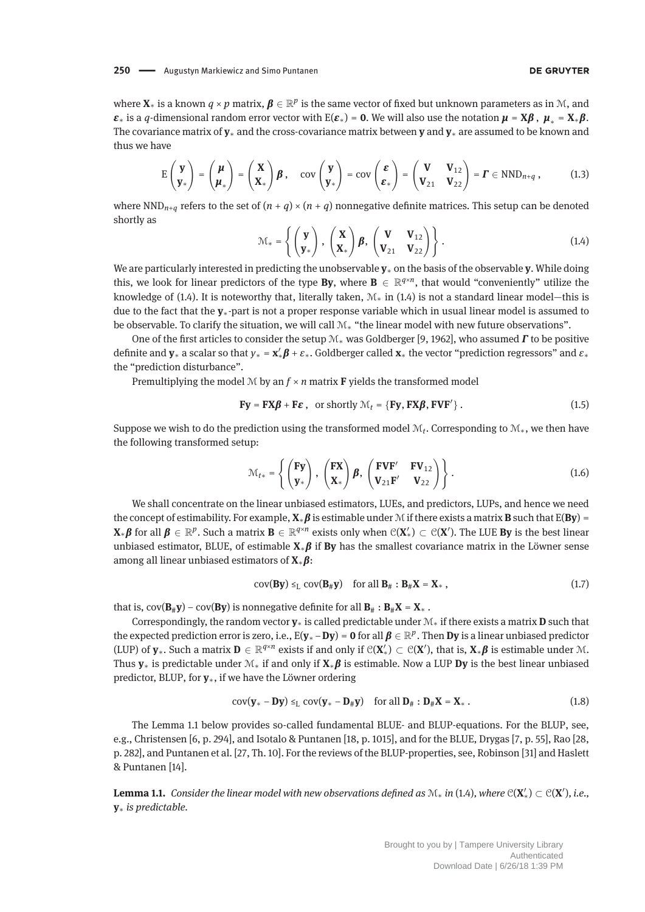where  $\mathbf{X}_*$  is a known  $q \times p$  matrix,  $\boldsymbol{\beta} \in \mathbb{R}^p$  is the same vector of fixed but unknown parameters as in M, and *ε*<sup>∗</sup> is a *q*-dimensional random error vector with E(*ε*<sup>\*</sup>) = **0**. We will also use the notation  $\mu = X\beta$ ,  $\mu^* = X^* \beta$ . The covariance matrix of **y**<sup>∗</sup> and the cross-covariance matrix between **y** and **y**<sup>∗</sup> are assumed to be known and thus we have

$$
E\begin{pmatrix} \mathbf{y} \\ \mathbf{y}_* \end{pmatrix} = \begin{pmatrix} \boldsymbol{\mu} \\ \boldsymbol{\mu}_* \end{pmatrix} = \begin{pmatrix} \mathbf{X} \\ \mathbf{X}_* \end{pmatrix} \boldsymbol{\beta}, \quad \text{cov} \begin{pmatrix} \mathbf{y} \\ \mathbf{y}_* \end{pmatrix} = \text{cov} \begin{pmatrix} \boldsymbol{\varepsilon} \\ \boldsymbol{\varepsilon}_* \end{pmatrix} = \begin{pmatrix} \mathbf{V} & \mathbf{V}_{12} \\ \mathbf{V}_{21} & \mathbf{V}_{22} \end{pmatrix} = \boldsymbol{\Gamma} \in \text{NND}_{n+q}, \quad (1.3)
$$

where  $\text{NND}_{n+q}$  refers to the set of  $(n+q) \times (n+q)$  nonnegative definite matrices. This setup can be denoted shortly as

$$
\mathcal{M}_* = \left\{ \begin{pmatrix} \mathbf{y} \\ \mathbf{y}_* \end{pmatrix}, \begin{pmatrix} \mathbf{X} \\ \mathbf{X}_* \end{pmatrix} \boldsymbol{\beta}, \begin{pmatrix} \mathbf{V} & \mathbf{V}_{12} \\ \mathbf{V}_{21} & \mathbf{V}_{22} \end{pmatrix} \right\}.
$$
 (1.4)

We are particularly interested in predicting the unobservable **y**<sup>∗</sup> on the basis of the observable **y**. While doing this, we look for linear predictors of the type **By**, where  $\mathbf{B} \in \mathbb{R}^{q \times n}$ , that would "conveniently" utilize the knowledge of (1.4). It is noteworthy that, literally taken,  $\mathcal{M}_*$  in (1.4) is not a standard linear model—this is due to the fact that the **y**∗-part is not a proper response variable which in usual linear model is assumed to be observable. To clarify the situation, we will call M<sup>∗</sup> "the linear model with new future observations".

One of the first articles to consider the setup <sup>M</sup><sup>∗</sup> was Goldberger [9, 1962], who assumed *<sup>Γ</sup>* to be positive definite and **y**<sup>∗</sup> a scalar so that *y*<sup>∗</sup> = **x** <sup>∗</sup>*<sup>β</sup>* <sup>+</sup> *<sup>ε</sup>*∗. Goldberger called **<sup>x</sup>**<sup>∗</sup> the vector "prediction regressors" and *<sup>ε</sup>*<sup>∗</sup> the "prediction disturbance".

Premultiplying the model  $M$  by an  $f \times n$  matrix **F** yields the transformed model

$$
\mathbf{Fy} = \mathbf{FX\beta} + \mathbf{F\epsilon} \,, \text{ or shortly } \mathcal{M}_t = \{ \mathbf{Fy}, \mathbf{FX\beta}, \mathbf{FVF}' \} \,.
$$
 (1.5)

Suppose we wish to do the prediction using the transformed model  $\mathcal{M}_t$ . Corresponding to  $\mathcal{M}_*$ , we then have the following transformed setup:

$$
\mathcal{M}_{t*} = \left\{ \begin{pmatrix} \mathbf{Fy} \\ \mathbf{y}_* \end{pmatrix}, \begin{pmatrix} \mathbf{FX} \\ \mathbf{X}_* \end{pmatrix} \boldsymbol{\beta}, \begin{pmatrix} \mathbf{FVF'} & \mathbf{FV}_{12} \\ \mathbf{V}_{21} \mathbf{F'} & \mathbf{V}_{22} \end{pmatrix} \right\}.
$$
 (1.6)

We shall concentrate on the linear unbiased estimators, LUEs, and predictors, LUPs, and hence we need the concept of estimability. For example, **<sup>X</sup>**∗*<sup>β</sup>* is estimable under <sup>M</sup> if there exists a matrix **<sup>B</sup>** such that E(**By**) =  $X_*\beta$  for all  $\beta \in \mathbb{R}^p$ . Such a matrix  $B \in \mathbb{R}^{q \times n}$  exists only when  $\mathcal{C}(X') \subset \mathcal{C}(X')$ . The LUE **By** is the best linear unbiased estimator, BLUE, of estimable **<sup>X</sup>**∗*<sup>β</sup>* if **By** has the smallest covariance matrix in the Löwner sense among all linear unbiased estimators of **<sup>X</sup>**∗*β*:

$$
cov(\mathbf{B}\mathbf{y}) \leq_{\mathbb{L}} cov(\mathbf{B}_{\#}\mathbf{y}) \quad \text{for all } \mathbf{B}_{\#}: \mathbf{B}_{\#}\mathbf{X} = \mathbf{X}_{*}, \tag{1.7}
$$

that is,  $cov(B_{\#}y) - cov(By)$  is nonnegative definite for all  $B_{\#}: B_{\#}X = X_{*}$ .

Correspondingly, the random vector **y**<sup>∗</sup> is called predictable under M<sup>∗</sup> if there exists a matrix **D** such that the expected prediction error is zero, i.e.,  $E(\mathbf{y}_* - \mathbf{D}\mathbf{y}) = \mathbf{0}$  for all  $\boldsymbol{\beta} \in \mathbb{R}^p$ . Then  $\mathbf{D}\mathbf{y}$  is a linear unbiased predictor (LUP) of  $y_*$ . Such a matrix  $D \in \mathbb{R}^{q \times n}$  exists if and only if  $\mathcal{C}(X') \subset \mathcal{C}(X')$ , that is,  $X_*\beta$  is estimable under M. Thus **<sup>y</sup>**<sup>∗</sup> is predictable under <sup>M</sup><sup>∗</sup> if and only if **<sup>X</sup>**∗*<sup>β</sup>* is estimable. Now a LUP **Dy** is the best linear unbiased predictor, BLUP, for **y**∗, if we have the Löwner ordering

$$
cov(\mathbf{y}_{*}-\mathbf{D}\mathbf{y}) \leq_{L} cov(\mathbf{y}_{*}-\mathbf{D}_{\#}\mathbf{y}) \quad \text{for all } \mathbf{D}_{\#} : \mathbf{D}_{\#}\mathbf{X} = \mathbf{X}_{*} . \tag{1.8}
$$

The Lemma 1.1 below provides so-called fundamental BLUE- and BLUP-equations. For the BLUP, see, e.g., Christensen [6, p. 294], and Isotalo & Puntanen [18, p. 1015], and for the BLUE, Drygas [7, p. 55], Rao [28, p. 282], and Puntanen et al. [27, Th. 10]. For the reviews of the BLUP-properties, see, Robinson [31] and Haslett & Puntanen [14].

**Lemma 1.1.** Consider the linear model with new observations defined as  $\mathcal{M}_*$  in (1.4), where  $\mathcal{C}(\mathbf{X}') \subset \mathcal{C}(\mathbf{X}')$ , i.e., **y**<sup>∗</sup> *is predictable.*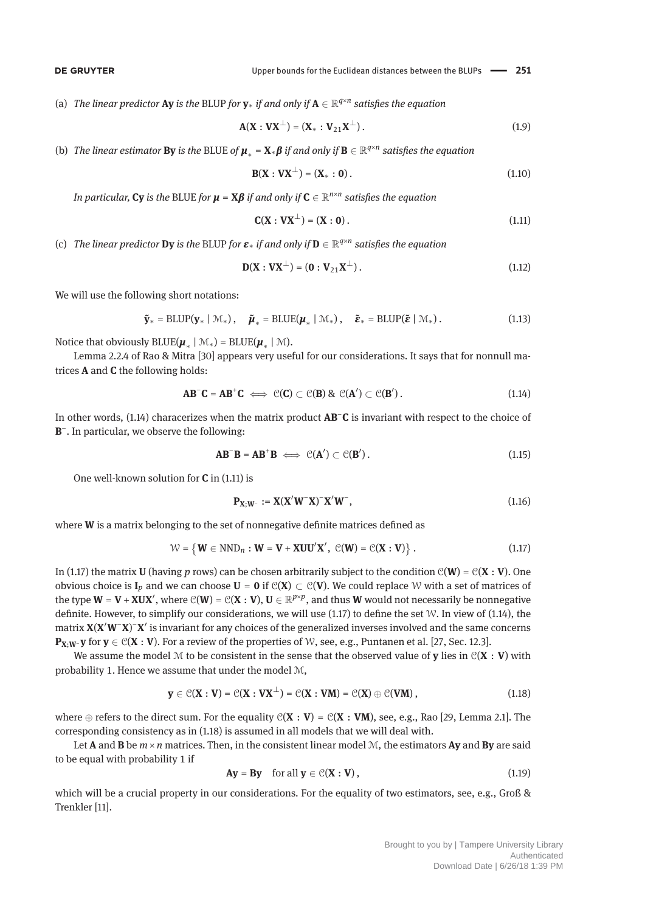(a) *The linear predictor* **Ay** *is the BLUP for*  $\mathbf{v}_*$  *if and only if*  $\mathbf{A} \in \mathbb{R}^{q \times n}$  *satisfies the equation* 

$$
A(X:VX^{\perp}) = (X_*:V_{21}X^{\perp}).
$$
\n(1.9)

(b) *The linear estimator* **By** *is the BLUE of*  $\mu_* = \mathbf{X} * \boldsymbol{\beta}$  *if and only if*  $\mathbf{B} \in \mathbb{R}^{q \times n}$  *satisfies the equation* 

$$
B(X : VX^{\perp}) = (X_* : 0).
$$
 (1.10)

*In particular,* **Cy** *is the BLUE for*  $\mu = X\beta$  *if and only if*  $C \in \mathbb{R}^{n \times n}$  *satisfies the equation* 

$$
\mathbf{C}(\mathbf{X} : \mathbf{V}\mathbf{X}^{\perp}) = (\mathbf{X} : \mathbf{0}). \tag{1.11}
$$

(c) *The linear predictor* **Dy** is the BLUP for  $\boldsymbol{\varepsilon}_*$  *if and only if*  $\mathbf{D} \in \mathbb{R}^{q \times n}$  *satisfies the equation* 

$$
D(X:VX^{\perp}) = (0:V_{21}X^{\perp}).
$$
\n(1.12)

We will use the following short notations:

$$
\tilde{\mathbf{y}}_{*} = \text{BLUP}(\mathbf{y}_{*} \mid \mathcal{M}_{*}), \quad \tilde{\boldsymbol{\mu}}_{*} = \text{BLUE}(\boldsymbol{\mu}_{*} \mid \mathcal{M}_{*}), \quad \tilde{\boldsymbol{\varepsilon}}_{*} = \text{BLUP}(\tilde{\boldsymbol{\varepsilon}} \mid \mathcal{M}_{*}). \tag{1.13}
$$

Notice that obviously  $BLUE(\mu_{*} | \mathcal{M}_{*}) = BLUE(\mu_{*} | \mathcal{M}).$ 

Lemma 2.2.4 of Rao & Mitra [30] appears very useful for our considerations. It says that for nonnull matrices **A** and **C** the following holds:

$$
\mathbf{AB}^{\top}\mathbf{C} = \mathbf{AB}^{\top}\mathbf{C} \iff \mathcal{C}(\mathbf{C}) \subset \mathcal{C}(\mathbf{B}) \& \mathcal{C}(\mathbf{A}') \subset \mathcal{C}(\mathbf{B}'). \tag{1.14}
$$

In other words, (1.14) characerizes when the matrix product **AB**−**C** is invariant with respect to the choice of **B**−. In particular, we observe the following:

$$
\mathbf{AB}^-\mathbf{B} = \mathbf{AB}^+\mathbf{B} \iff \mathcal{C}(\mathbf{A}') \subset \mathcal{C}(\mathbf{B}'). \tag{1.15}
$$

One well-known solution for **C** in (1.11) is

$$
\mathbf{P}_{\mathbf{X};\mathbf{W}^-} := \mathbf{X} (\mathbf{X}'\mathbf{W}^-\mathbf{X})^-\mathbf{X}'\mathbf{W}^-, \tag{1.16}
$$

where **W** is a matrix belonging to the set of nonnegative definite matrices defined as

$$
\mathcal{W} = \left\{ \mathbf{W} \in \mathrm{NND}_n : \mathbf{W} = \mathbf{V} + \mathbf{XUU}'\mathbf{X}', \ \mathcal{C}(\mathbf{W}) = \mathcal{C}(\mathbf{X} : \mathbf{V}) \right\}. \tag{1.17}
$$

In (1.17) the matrix **U** (having *p* rows) can be chosen arbitrarily subject to the condition  $C(W) = C(X : V)$ . One obvious choice is  $I_p$  and we can choose  $U = 0$  if  $C(X) \subset C(V)$ . We could replace W with a set of matrices of the type  $W = V + XUX'$ , where  $C(W) = C(X : V)$ ,  $U \in \mathbb{R}^{p \times p}$ , and thus  $W$  would not necessarily be nonnegative definite. However, to simplify our considerations, we will use  $(1.17)$  to define the set W. In view of  $(1.14)$ , the matrix **X**(**X W**−**X**) <sup>−</sup>**X** is invariant for any choices of the generalized inverses involved and the same concerns **P<sub>X</sub>**;**W**− **y** for **y** ∈  $C(X : V)$ . For a review of the properties of W, see, e.g., Puntanen et al. [27, Sec. 12.3].

We assume the model M to be consistent in the sense that the observed value of **y** lies in  $C(X : V)$  with probability 1. Hence we assume that under the model M,

$$
\mathbf{y} \in \mathcal{C}(\mathbf{X} : \mathbf{V}) = \mathcal{C}(\mathbf{X} : \mathbf{V}\mathbf{X}^{\perp}) = \mathcal{C}(\mathbf{X} : \mathbf{V}\mathbf{M}) = \mathcal{C}(\mathbf{X}) \oplus \mathcal{C}(\mathbf{V}\mathbf{M}), \qquad (1.18)
$$

where  $\oplus$  refers to the direct sum. For the equality  $C(X : V) = C(X : VM)$ , see, e.g., Rao [29, Lemma 2.1]. The corresponding consistency as in (1.18) is assumed in all models that we will deal with.

Let **A** and **B** be  $m \times n$  matrices. Then, in the consistent linear model  $M$ , the estimators **Ay** and **By** are said to be equal with probability 1 if

$$
Ay = By \quad \text{for all } y \in \mathcal{C}(X:V), \tag{1.19}
$$

which will be a crucial property in our considerations. For the equality of two estimators, see, e.g., Groß & Trenkler [11].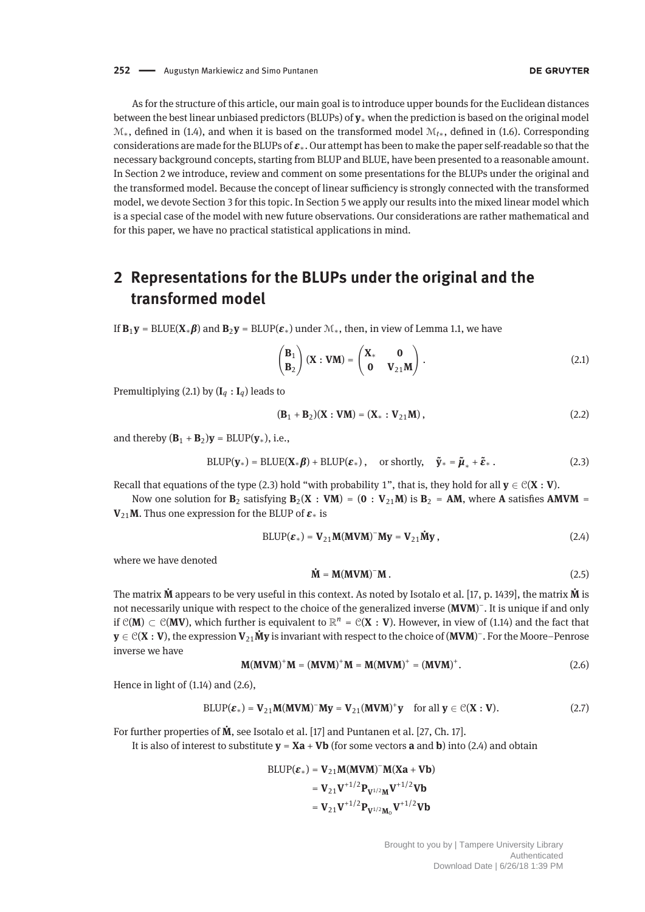As for the structure of this article, our main goal is to introduce upper bounds for the Euclidean distances between the best linear unbiased predictors (BLUPs) of **y**<sup>∗</sup> when the prediction is based on the original model M∗, defined in (1.4), and when it is based on the transformed model M*t*∗, defined in (1.6). Corresponding considerations are made for the BLUPs of *<sup>ε</sup>*∗. Our attempt has been to make the paper self-readable so that the necessary background concepts, starting from BLUP and BLUE, have been presented to a reasonable amount. In Section 2 we introduce, review and comment on some presentations for the BLUPs under the original and the transformed model. Because the concept of linear sufficiency is strongly connected with the transformed model, we devote Section 3 for this topic. In Section 5 we apply our results into the mixed linear model which is a special case of the model with new future observations. Our considerations are rather mathematical and for this paper, we have no practical statistical applications in mind.

## **2 Representations for the BLUPs under the original and the transformed model**

If  $\mathbf{B}_1 \mathbf{v} = \text{BLE}(\mathbf{X} * \boldsymbol{\beta})$  and  $\mathbf{B}_2 \mathbf{v} = \text{BLUP}(\boldsymbol{\varepsilon}_*)$  under  $\mathcal{M}_*,$  then, in view of Lemma 1.1, we have

$$
\begin{pmatrix} \mathbf{B}_1 \\ \mathbf{B}_2 \end{pmatrix} (\mathbf{X} : \mathbf{V}\mathbf{M}) = \begin{pmatrix} \mathbf{X}_* & \mathbf{0} \\ \mathbf{0} & \mathbf{V}_{21} \mathbf{M} \end{pmatrix} .
$$
 (2.1)

Premultiplying (2.1) by  $(I_q : I_q)$  leads to

$$
(\mathbf{B}_1 + \mathbf{B}_2)(\mathbf{X} : \mathbf{V}\mathbf{M}) = (\mathbf{X}_* : \mathbf{V}_{21}\mathbf{M}),
$$
\n(2.2)

and thereby  $(\mathbf{B}_1 + \mathbf{B}_2)\mathbf{y} = \text{BLUP}(\mathbf{y}_*)$ , i.e.,

$$
BLUP(\mathbf{y}_*) = BLUE(\mathbf{X}_*\boldsymbol{\beta}) + BLUP(\boldsymbol{\varepsilon}_*), \text{ or shortly, } \tilde{\mathbf{y}}_* = \tilde{\boldsymbol{\mu}}_* + \tilde{\boldsymbol{\varepsilon}}_*. \tag{2.3}
$$

Recall that equations of the type (2.3) hold "with probability 1", that is, they hold for all  $y \in C(X : V)$ .

Now one solution for  $\mathbf{B}_2$  satisfying  $\mathbf{B}_2(\mathbf{X} : \mathbf{V}\mathbf{M}) = (\mathbf{0} : \mathbf{V}_{21}\mathbf{M})$  is  $\mathbf{B}_2 = \mathbf{A}\mathbf{M}$ , where **A** satisfies **AMVM** = **V**<sub>21</sub>**M**. Thus one expression for the BLUP of  $\boldsymbol{\varepsilon}$ <sup>\*</sup> is

$$
BLUP(\varepsilon_*) = V_{21}M(MVM)^{-}My = V_{21}\dot{My},
$$
\n(2.4)

where we have denoted

$$
\dot{\mathbf{M}} = \mathbf{M}(\mathbf{M}\mathbf{V}\mathbf{M})^{-1}\mathbf{M} \tag{2.5}
$$

The matrix **M˙** appears to be very useful in this context. As noted by Isotalo et al. [17, p. 1439], the matrix **M˙** is not necessarily unique with respect to the choice of the generalized inverse (MVM)<sup>-</sup>. It is unique if and only if  $C(M)$  ⊂  $C(MV)$ , which further is equivalent to  $\mathbb{R}^n = C(X : V)$ . However, in view of (1.14) and the fact that **<sup>y</sup>** <sup>∈</sup> <sup>C</sup>(**<sup>X</sup>** : **<sup>V</sup>**), the expression **<sup>V</sup>**21**My˙** is invariant with respect to the choice of (**MVM**) −. For the Moore–Penrose inverse we have

$$
\mathbf{M}(\mathbf{M}\mathbf{V}\mathbf{M})^{+}\mathbf{M} = (\mathbf{M}\mathbf{V}\mathbf{M})^{+}\mathbf{M} = \mathbf{M}(\mathbf{M}\mathbf{V}\mathbf{M})^{+} = (\mathbf{M}\mathbf{V}\mathbf{M})^{+}.
$$
 (2.6)

Hence in light of (1.14) and (2.6),

$$
BLUP(\varepsilon_*) = V_{21}M(MVM)^-My = V_{21}(MVM)^+y \quad \text{for all } y \in \mathcal{C}(X:V). \tag{2.7}
$$

For further properties of **M˙** , see Isotalo et al. [17] and Puntanen et al. [27, Ch. 17].

It is also of interest to substitute  $y = Xa + Vb$  (for some vectors **a** and **b**) into (2.4) and obtain

$$
\begin{aligned} \text{BLUP}(\epsilon_*) &= V_{21} M(MVM)^{-} M(Xa+Vb) \\ &= V_{21} V^{+1/2} P_{V^{1/2}M} V^{+1/2} Vb \\ &= V_{21} V^{+1/2} P_{V^{1/2}M_0} V^{+1/2} Vb \end{aligned}
$$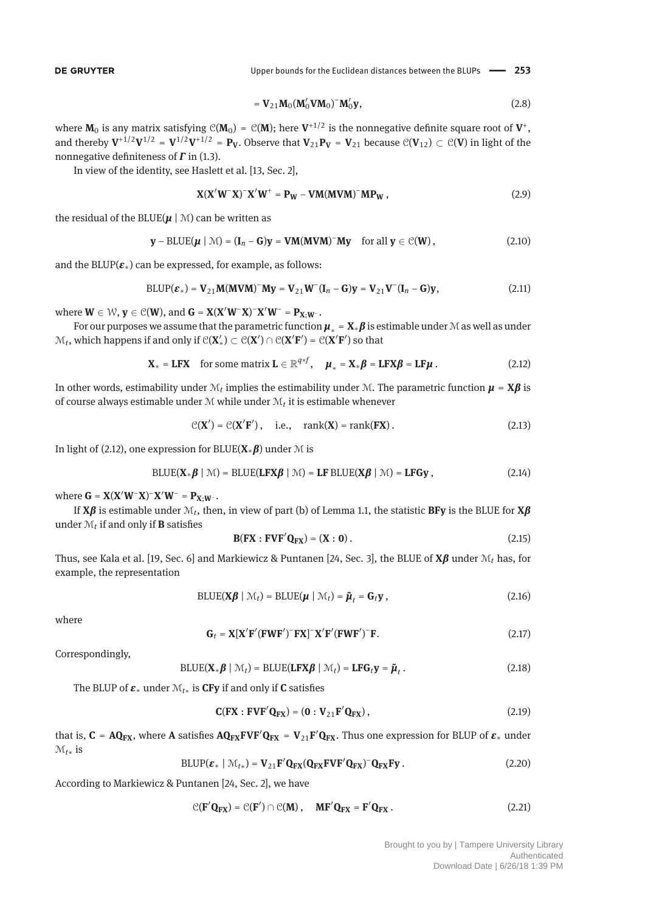$$
= \mathbf{V}_{21} \mathbf{M}_0 (\mathbf{M}'_0 \mathbf{V} \mathbf{M}_0)^{-} \mathbf{M}'_0 \mathbf{y}, \qquad (2.8)
$$

where  $M_0$  is any matrix satisfying  $C(M_0) = C(M)$ ; here  $V^{+1/2}$  is the nonnegative definite square root of  $V^+$ , and thereby  $V^{1/2}V^{1/2} = V^{1/2}V^{1/2} = P_V$ . Observe that  $V_{21}P_V = V_{21}$  because  $\mathcal{C}(V_{12}) \subset \mathcal{C}(V)$  in light of the nonnegative definiteness of *Γ* in (1.3).

In view of the identity, see Haslett et al. [13, Sec. 2],

$$
\mathbf{X}(\mathbf{X}'\mathbf{W}^-\mathbf{X})^-\mathbf{X}'\mathbf{W}^+ = \mathbf{P_W} - \mathbf{VM}(\mathbf{MVM})^-\mathbf{MP_W},\tag{2.9}
$$

the residual of the BLUE( $\mu$  | M) can be written as

$$
\mathbf{y} - \text{BLUE}(\boldsymbol{\mu} \mid \mathcal{M}) = (\mathbf{I}_n - \mathbf{G})\mathbf{y} = \mathbf{VM}(\mathbf{MVM})^{-} \mathbf{My} \quad \text{for all } \mathbf{y} \in \mathcal{C}(\mathbf{W}), \tag{2.10}
$$

and the BLUP $(\varepsilon_*)$  can be expressed, for example, as follows:

$$
BLUP(\varepsilon_*) = \mathbf{V}_{21} \mathbf{M} (\mathbf{M} \mathbf{V} \mathbf{M})^{\top} \mathbf{M} \mathbf{y} = \mathbf{V}_{21} \mathbf{W}^{\top} (\mathbf{I}_n - \mathbf{G}) \mathbf{y} = \mathbf{V}_{21} \mathbf{V}^{\top} (\mathbf{I}_n - \mathbf{G}) \mathbf{y},
$$
\n(2.11)

 $W \in W$ ,  $\mathbf{y} \in \mathcal{C}(\mathbf{W})$ , and  $\mathbf{G} = \mathbf{X}(\mathbf{X}'\mathbf{W}^-\mathbf{X})^-\mathbf{X}'\mathbf{W}^- = \mathbf{P}_{\mathbf{X};\mathbf{W}^-}$ .

For our purposes we assume that the parametric function  $\mu_* = X_* \beta$  is estimable under M as well as under  $M_t$ , which happens if and only if  $C(X') \subset C(X') \cap C(X'F') = C(X'F')$  so that

$$
\mathbf{X}_{*} = \mathbf{L} \mathbf{F} \mathbf{X} \quad \text{for some matrix } \mathbf{L} \in \mathbb{R}^{q \times f}, \quad \boldsymbol{\mu}_{*} = \mathbf{X}_{*} \boldsymbol{\beta} = \mathbf{L} \mathbf{F} \mathbf{X} \boldsymbol{\beta} = \mathbf{L} \mathbf{F} \boldsymbol{\mu}. \tag{2.12}
$$

In other words, estimability under  $\mathcal{M}_t$  implies the estimability under  $\mathcal{M}$ . The parametric function  $\mu = X\beta$  is of course always estimable under M while under M*<sup>t</sup>* it is estimable whenever

$$
\mathcal{C}(\mathbf{X}') = \mathcal{C}(\mathbf{X}'\mathbf{F}'), \quad \text{i.e.,} \quad \text{rank}(\mathbf{X}) = \text{rank}(\mathbf{F}\mathbf{X}). \tag{2.13}
$$

In light of (2.12), one expression for BLUE(**X**∗*β*) under <sup>M</sup> is

$$
\text{BLUE}(\mathbf{X}_{*}\boldsymbol{\beta} \mid \mathcal{M}) = \text{BLUE}(\mathbf{LF} \mathbf{X} \boldsymbol{\beta} \mid \mathcal{M}) = \mathbf{LF} \text{BLUE}(\mathbf{X} \boldsymbol{\beta} \mid \mathcal{M}) = \mathbf{LF} \mathbf{G} \mathbf{y}, \qquad (2.14)
$$

 $\mathbf{W} = \mathbf{K} (\mathbf{X}' \mathbf{W} - \mathbf{X}) - \mathbf{X}' \mathbf{W} = \mathbf{P}_{\mathbf{X}; \mathbf{W}}.$ 

If **X***β* is estimable under M*t*, then, in view of part (b) of Lemma 1.1, the statistic **BFy** is the BLUE for **X***β* under  $\mathcal{M}_t$  if and only if **B** satisfies

$$
\mathbf{B}(\mathbf{F}\mathbf{X} : \mathbf{F}\mathbf{V}\mathbf{F}'\mathbf{Q}_{\mathbf{F}\mathbf{X}}) = (\mathbf{X} : \mathbf{0}).
$$
 (2.15)

Thus, see Kala et al. [19, Sec. 6] and Markiewicz & Puntanen [24, Sec. 3], the BLUE of **X***β* under M*<sup>t</sup>* has, for example, the representation

$$
BLUE(X\beta \mid \mathcal{M}_t) = BLUE(\mu \mid \mathcal{M}_t) = \tilde{\mu}_t = G_t y, \qquad (2.16)
$$

where

$$
\mathbf{G}_t = \mathbf{X} [\mathbf{X}' \mathbf{F}' (\mathbf{F} \mathbf{W} \mathbf{F}')^- \mathbf{F} \mathbf{X}]^- \mathbf{X}' \mathbf{F}' (\mathbf{F} \mathbf{W} \mathbf{F}')^- \mathbf{F}.
$$
 (2.17)

Correspondingly,

$$
BLUE(\mathbf{X}_{*}\boldsymbol{\beta} \mid \mathcal{M}_{t}) = BLUE(\mathbf{LFX}\boldsymbol{\beta} \mid \mathcal{M}_{t}) = \mathbf{LFG}_{t}\mathbf{y} = \tilde{\boldsymbol{\mu}}_{t}.
$$
\n(2.18)

The BLUP of  $\varepsilon_*$  under  $\mathcal{M}_{t*}$  is **CFy** if and only if **C** satisfies

$$
\mathbf{C}(\mathbf{F}\mathbf{X} : \mathbf{F}\mathbf{V}\mathbf{F}'\mathbf{Q}_{\mathbf{F}\mathbf{X}}) = (\mathbf{0} : \mathbf{V}_{21}\mathbf{F}'\mathbf{Q}_{\mathbf{F}\mathbf{X}}), \tag{2.19}
$$

that is,  $C = AQ_{FX}$ , where A satisfies  $AQ_{FX}FVF'Q_{FX} = V_{21}F'Q_{FX}$ . Thus one expression for BLUP of  $\varepsilon_*$  under M*t*<sup>∗</sup> is

$$
BLUP(\varepsilon_* \mid \mathcal{M}_{t*}) = \mathbf{V}_{21} \mathbf{F}' \mathbf{Q}_{\mathbf{FX}} (\mathbf{Q}_{\mathbf{FX}} \mathbf{F} \mathbf{V} \mathbf{F}' \mathbf{Q}_{\mathbf{FX}})^{-} \mathbf{Q}_{\mathbf{FX}} \mathbf{F} \mathbf{y}.
$$
 (2.20)

According to Markiewicz & Puntanen [24, Sec. 2], we have

$$
\mathcal{C}(\mathbf{F}'\mathbf{Q}_{\mathbf{FX}})=\mathcal{C}(\mathbf{F}')\cap\mathcal{C}(\mathbf{M}),\quad\mathbf{MF}'\mathbf{Q}_{\mathbf{FX}}=\mathbf{F}'\mathbf{Q}_{\mathbf{FX}}.
$$
 (2.21)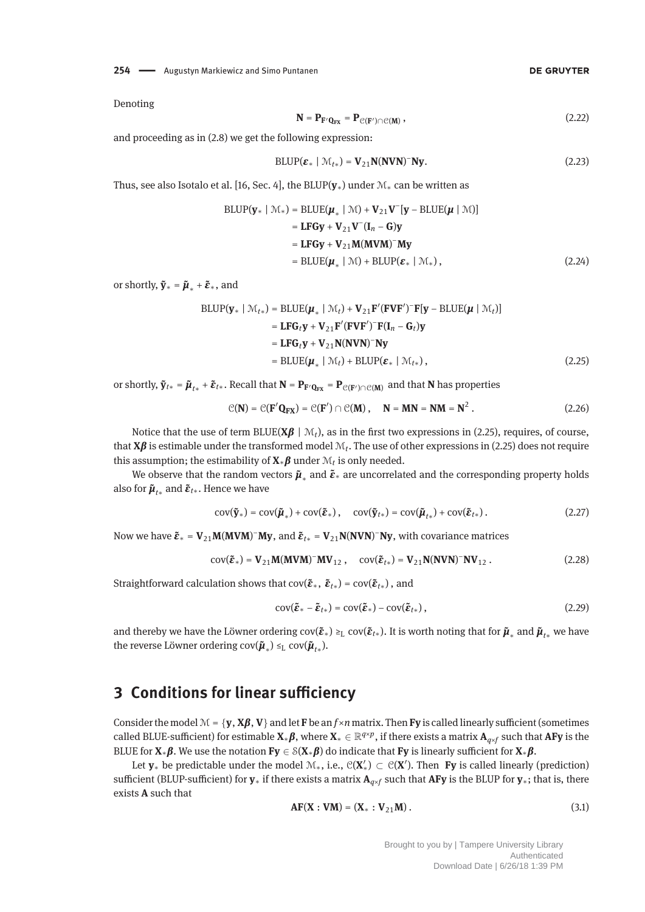**254 - Augustyn Markiewicz and Simo Puntanen** 

Denoting

$$
\mathbf{N} = \mathbf{P}_{\mathbf{F}'\mathbf{Q}_{\mathbf{F}X}} = \mathbf{P}_{\mathcal{C}(\mathbf{F}') \cap \mathcal{C}(\mathbf{M})},
$$
\n(2.22)

and proceeding as in (2.8) we get the following expression:

$$
BLUP(\varepsilon_* \mid \mathcal{M}_{t*}) = \mathbf{V}_{21} \mathbf{N} (\mathbf{N} \mathbf{V} \mathbf{N})^{\top} \mathbf{N} \mathbf{y}.
$$
 (2.23)

Thus, see also Isotalo et al. [16, Sec. 4], the BLUP(**y**∗) under M<sup>∗</sup> can be written as

$$
BLUP(\mathbf{y}_{*} | \mathcal{M}_{*}) = BLUE(\boldsymbol{\mu}_{*} | \mathcal{M}) + \mathbf{V}_{21}\mathbf{V}^{-}[\mathbf{y} - BLUE(\boldsymbol{\mu} | \mathcal{M})]
$$
  
\n
$$
= \mathbf{LFGy} + \mathbf{V}_{21}\mathbf{V}^{-}(\mathbf{I}_{n} - \mathbf{G})\mathbf{y}
$$
  
\n
$$
= \mathbf{LFGy} + \mathbf{V}_{21}\mathbf{M}(\mathbf{MVM})^{-} \mathbf{My}
$$
  
\n
$$
= BLUE(\boldsymbol{\mu}_{*} | \mathcal{M}) + BLUP(\boldsymbol{\varepsilon}_{*} | \mathcal{M}_{*}), \qquad (2.24)
$$

or shortly,  $\tilde{\mathbf{y}}_* = \tilde{\boldsymbol{\mu}}_* + \tilde{\boldsymbol{\varepsilon}}_*$ , and

$$
\begin{aligned}\n\text{BLUP}(\mathbf{y}_* \mid \mathcal{M}_{t*}) &= \text{BLUE}(\boldsymbol{\mu}_* \mid \mathcal{M}_t) + \mathbf{V}_{21} \mathbf{F}'(\mathbf{FVF}')^{\top} \mathbf{F}[\mathbf{y} - \text{BLUE}(\boldsymbol{\mu} \mid \mathcal{M}_t)] \\
&= \mathbf{LFG}_t \mathbf{y} + \mathbf{V}_{21} \mathbf{F}'(\mathbf{FVF}')^{\top} \mathbf{F}(\mathbf{I}_n - \mathbf{G}_t) \mathbf{y} \\
&= \mathbf{LFG}_t \mathbf{y} + \mathbf{V}_{21} \mathbf{N} (\mathbf{N} \mathbf{V} \mathbf{N})^{\top} \mathbf{N} \mathbf{y} \\
&= \text{BLUE}(\boldsymbol{\mu}_* \mid \mathcal{M}_t) + \text{BLUP}(\boldsymbol{\varepsilon}_* \mid \mathcal{M}_{t*}),\n\end{aligned} \tag{2.25}
$$

or shortly,  $\tilde{\mathbf{y}}_{t*} = \tilde{\boldsymbol{\mu}}_{t*} + \tilde{\boldsymbol{\epsilon}}_{t*}$ . Recall that  $\mathbf{N} = \mathbf{P}_{\mathbf{F'Q_{FX}}} = \mathbf{P}_{\mathcal{C}(\mathbf{F'}) \cap \mathcal{C}(\mathbf{M})}$  and that  $\mathbf{N}$  has properties

$$
\mathcal{C}(\mathbf{N}) = \mathcal{C}(\mathbf{F}'\mathbf{Q}_{\mathbf{FX}}) = \mathcal{C}(\mathbf{F}') \cap \mathcal{C}(\mathbf{M}), \quad \mathbf{N} = \mathbf{MN} = \mathbf{NM} = \mathbf{N}^2.
$$
 (2.26)

Notice that the use of term BLUE( $X\beta$  |  $\mathcal{M}_t$ ), as in the first two expressions in (2.25), requires, of course, that **X***β* is estimable under the transformed model M*t*. The use of other expressions in (2.25) does not require this assumption; the estimability of  $\mathbf{X} \ast \boldsymbol{\beta}$  under  $\mathcal{M}_t$  is only needed.

We observe that the random vectors  $\tilde{\mu}_*$  and  $\tilde{\varepsilon}_*$  are uncorrelated and the corresponding property holds also for  $\tilde{\mu}_{t*}$  and  $\tilde{\varepsilon}_{t*}$ . Hence we have

$$
cov(\tilde{\mathbf{y}}_{*}) = cov(\tilde{\boldsymbol{\mu}}_{*}) + cov(\tilde{\boldsymbol{\epsilon}}_{*}), \quad cov(\tilde{\mathbf{y}}_{t*}) = cov(\tilde{\boldsymbol{\mu}}_{t*}) + cov(\tilde{\boldsymbol{\epsilon}}_{t*}). \qquad (2.27)
$$

Now we have  $\tilde{\boldsymbol{\epsilon}}_* = \mathbf{V}_{21} \mathbf{M} (\mathbf{M} \mathbf{V} \mathbf{M})^- \mathbf{M} \mathbf{y}$ , and  $\tilde{\boldsymbol{\epsilon}}_{t*} = \mathbf{V}_{21} \mathbf{N} (\mathbf{N} \mathbf{V} \mathbf{N})^- \mathbf{N} \mathbf{y}$ , with covariance matrices

$$
\text{cov}(\tilde{\boldsymbol{\varepsilon}}_{*}) = \mathbf{V}_{21} \mathbf{M} (\mathbf{M} \mathbf{V} \mathbf{M})^{-} \mathbf{M} \mathbf{V}_{12} , \quad \text{cov}(\tilde{\boldsymbol{\varepsilon}}_{t*}) = \mathbf{V}_{21} \mathbf{N} (\mathbf{N} \mathbf{V} \mathbf{N})^{-} \mathbf{N} \mathbf{V}_{12} . \tag{2.28}
$$

Straightforward calculation shows that  $cov(\tilde{\boldsymbol{\varepsilon}}_*, \tilde{\boldsymbol{\varepsilon}}_{t*}) = cov(\tilde{\boldsymbol{\varepsilon}}_{t*})$ , and

$$
cov(\tilde{\boldsymbol{\varepsilon}}_{*} - \tilde{\boldsymbol{\varepsilon}}_{t*}) = cov(\tilde{\boldsymbol{\varepsilon}}_{*}) - cov(\tilde{\boldsymbol{\varepsilon}}_{t*}),
$$
\n(2.29)

and thereby we have the Löwner ordering  $cov(\tilde{\boldsymbol{\varepsilon}}_*)\geq_L cov(\tilde{\boldsymbol{\varepsilon}}_{t*})$ . It is worth noting that for  $\tilde{\boldsymbol{\mu}}_*$  and  $\tilde{\boldsymbol{\mu}}_{t*}$  we have the reverse Löwner ordering  $cov(\tilde{\boldsymbol{\mu}}_*) \leq_L cov(\tilde{\boldsymbol{\mu}}_{t*}).$ 

### **3 Conditions for linear sufficiency**

Consider the model  $\mathcal{M} = \{\mathbf{y}, \mathbf{X}\boldsymbol{\beta}, \mathbf{V}\}\$  and let **F** be an  $f \times n$  matrix. Then **Fy** is called linearly sufficient (sometimes called BLUE-sufficient) for estimable **<sup>X</sup>**∗*β*, where **<sup>X</sup>**<sup>∗</sup> <sup>∈</sup> <sup>R</sup>*q*×*p*, if there exists a matrix **<sup>A</sup>***q*×*<sup>f</sup>* such that **AFy** is the BLUE for **<sup>X</sup>**∗*β*. We use the notation **Fy** <sup>∈</sup> <sup>S</sup>(**X**∗*β*) do indicate that **Fy** is linearly sufficient for **<sup>X</sup>**∗*β*.

Let **y**<sup>∗</sup> be predictable under the model M∗, i.e., C(**X** <sup>∗</sup>) <sup>⊂</sup> C(**X** ). Then **Fy** is called linearly (prediction) sufficient (BLUP-sufficient) for **y**<sup>∗</sup> if there exists a matrix **A***q*×*<sup>f</sup>* such that **AFy** is the BLUP for **y**∗; that is, there exists **A** such that

$$
AF(X: VM) = (X_* : V_{21}M).
$$
 (3.1)

Brought to you by | Tampere University Library Authenticated Download Date | 6/26/18 1:39 PM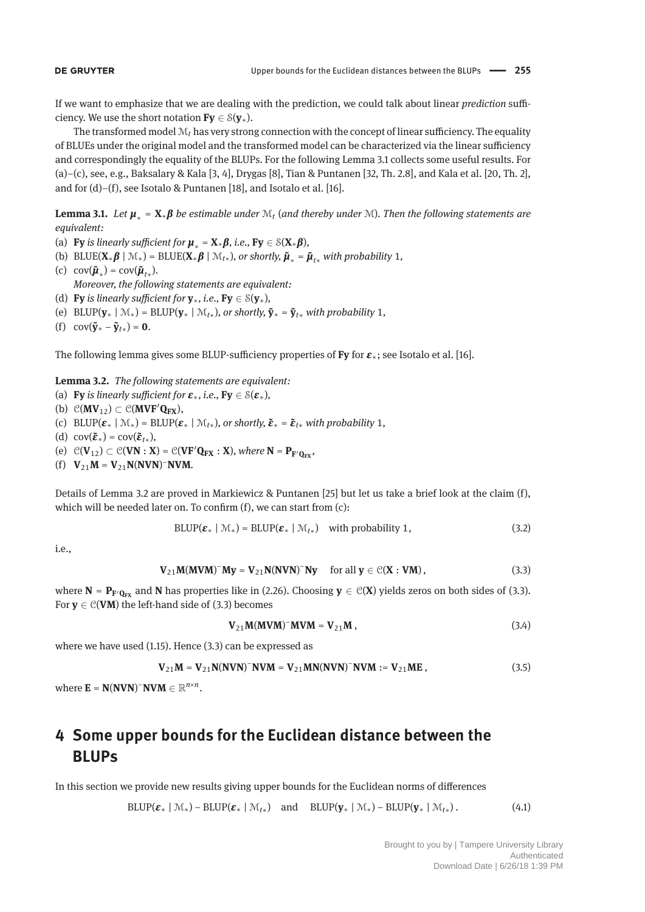If we want to emphasize that we are dealing with the prediction, we could talk about linear *prediction* sufficiency. We use the short notation  $Fv \in \mathcal{S}(v_*)$ .

The transformed model  $M_t$  has very strong connection with the concept of linear sufficiency. The equality of BLUEs under the original model and the transformed model can be characterized via the linear sufficiency and correspondingly the equality of the BLUPs. For the following Lemma 3.1 collects some useful results. For (a)–(c), see, e.g., Baksalary & Kala [3, 4], Drygas [8], Tian & Puntanen [32, Th. 2.8], and Kala et al. [20, Th. 2], and for (d)–(f), see Isotalo & Puntanen [18], and Isotalo et al. [16].

**Lemma 3.1.** *Let*  $\mu_* = X_*\beta$  *be estimable under*  $\mathcal{M}_t$  (*and thereby under*  $\mathcal{M}$ *). Then the following statements are equivalent:*

- (a) **Fy** *is linearly sufficient for*  $\mu_* = \mathbf{X} * \boldsymbol{\beta}$ *, i.e.,* **Fy**  $\in S(\mathbf{X} * \boldsymbol{\beta})$ *,*
- (b) BLUE( $X_*\beta \mid \mathcal{M}_*$ ) = BLUE( $X_*\beta \mid \mathcal{M}_{t*}$ )*, or shortly,*  $\tilde{\mu}_* = \tilde{\mu}_{t*}$  *with probability* 1*,*
- (c)  $cov(\mathbf{\tilde{\mu}}_*) = cov(\mathbf{\tilde{\mu}}_{t*}).$ *Moreover, the following statements are equivalent:*
- (d) **Fy** is linearly sufficient for  $y_*$ , i.e.,  $Fy \in \mathcal{S}(y_*)$ ,
- (e) BLUP( $\mathbf{y}_* \mid \mathcal{M}_*$ ) = BLUP( $\mathbf{y}_* \mid \mathcal{M}_{t*}$ )*, or shortly,*  $\tilde{\mathbf{y}}_* = \tilde{\mathbf{y}}_{t*}$  *with probability* 1*,*
- (f)  $cov(\tilde{\mathbf{y}}_* \tilde{\mathbf{y}}_{t*}) = \mathbf{0}.$

The following lemma gives some BLUP-sufficiency properties of **Fy** for *<sup>ε</sup>*∗; see Isotalo et al. [16].

**Lemma 3.2.** *The following statements are equivalent:*

- (a) **Fy** is linearly sufficient for  $\varepsilon_*$ , i.e., **Fy**  $\in$   $S(\varepsilon_*)$ ,
- (b)  $\mathcal{C}(\mathbf{MV}_{12}) \subset \mathcal{C}(\mathbf{MVF'Q_{FX}})$ ,
- (c) BLUP( $\boldsymbol{\varepsilon}$ <sub>\*</sub> |  $\mathcal{M}_*$ ) = BLUP( $\boldsymbol{\varepsilon}$ <sub>\*</sub> |  $\mathcal{M}_{t*}$ ), or shortly,  $\boldsymbol{\tilde{\varepsilon}}$ <sub>\*</sub> =  $\boldsymbol{\tilde{\varepsilon}}$ <sub>t\*</sub> with probability 1,
- (d)  $cov(\tilde{\boldsymbol{\varepsilon}}_*) = cov(\tilde{\boldsymbol{\varepsilon}}_{t*}),$
- (e)  $\mathcal{C}(\mathbf{V}_{12}) \subset \mathcal{C}(\mathbf{VN} : \mathbf{X}) = \mathcal{C}(\mathbf{VF}'\mathbf{Q}_{\mathbf{FX}} : \mathbf{X})$ , where  $\mathbf{N} = \mathbf{P}_{\mathbf{F}'\mathbf{Q}_{\mathbf{FX}}}$ ,
- $(V_2 \cdot M = V_2 \cdot N(NVN)^{-1}NVM$ .

Details of Lemma 3.2 are proved in Markiewicz & Puntanen [25] but let us take a brief look at the claim (f), which will be needed later on. To confirm (f), we can start from (c):

$$
BLUP(\varepsilon_* \mid \mathcal{M}_*) = BLUP(\varepsilon_* \mid \mathcal{M}_{t*}) \quad \text{with probability 1,}
$$
\n(3.2)

i.e.,

$$
\mathbf{V}_{21}\mathbf{M}(\mathbf{M}\mathbf{V}\mathbf{M})^-\mathbf{M}\mathbf{y} = \mathbf{V}_{21}\mathbf{N}(\mathbf{N}\mathbf{V}\mathbf{N})^-\mathbf{N}\mathbf{y} \quad \text{for all } \mathbf{y} \in \mathcal{C}(\mathbf{X} : \mathbf{V}\mathbf{M}),
$$
 (3.3)

where  $N = P_{F/Q_{FX}}$  and  $N$  has properties like in (2.26). Choosing  $y \in C(X)$  yields zeros on both sides of (3.3). For  $y \in C(VM)$  the left-hand side of (3.3) becomes

$$
\mathbf{V}_{21}\mathbf{M}(\mathbf{M}\mathbf{V}\mathbf{M})^-\mathbf{M}\mathbf{V}\mathbf{M} = \mathbf{V}_{21}\mathbf{M},\tag{3.4}
$$

where we have used (1.15). Hence (3.3) can be expressed as

$$
V_{21}M = V_{21}N(NVN)^{-}NVM = V_{21}MN(NVN)^{-}NVM := V_{21}ME,
$$
\n(3.5)

where  $\mathbf{E} = \mathbf{N}(\mathbf{N}\mathbf{V}\mathbf{N})$ <sup>-</sup> $\mathbf{N}\mathbf{V}\mathbf{M} \in \mathbb{R}^{n \times n}$ .

# **4 Some upper bounds for the Euclidean distance between the BLUPs**

In this section we provide new results giving upper bounds for the Euclidean norms of differences

 $BLUP(\mathbf{z}_* | \mathcal{M}_*) - BLUP(\mathbf{z}_* | \mathcal{M}_{t*})$  and  $BLUP(\mathbf{y}_* | \mathcal{M}_*) - BLUP(\mathbf{y}_* | \mathcal{M}_{t*})$ . (4.1)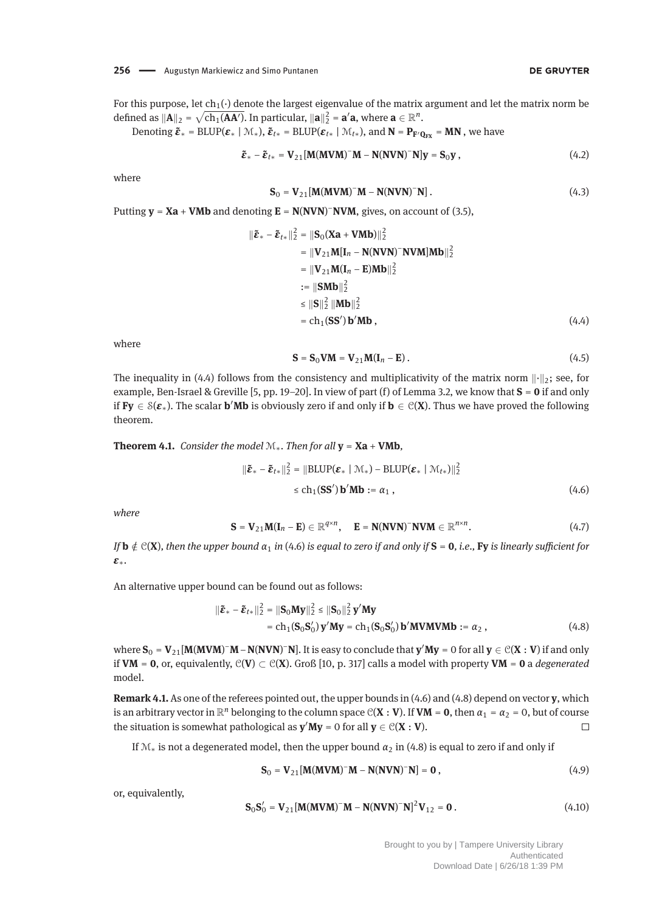For this purpose, let  $ch_1(\cdot)$  denote the largest eigenvalue of the matrix argument and let the matrix norm be defined as  $\|\mathbf{A}\|_2 = \sqrt{\text{ch}_1(\mathbf{A}\mathbf{A}')}$ . In particular,  $\|\mathbf{a}\|_2^2 = \mathbf{a}'\mathbf{a}$ , where  $\mathbf{a} \in \mathbb{R}^n$ .

Denoting  $\tilde{\boldsymbol{\epsilon}}_* = \text{BLUP}(\boldsymbol{\epsilon}_* \mid \mathcal{M}_*), \ \tilde{\boldsymbol{\epsilon}}_{t*} = \text{BLUP}(\boldsymbol{\epsilon}_{t*} \mid \mathcal{M}_{t*}), \text{and } N = P_{F'Q_{FX}} = MN$ , we have

$$
\tilde{\boldsymbol{\varepsilon}}_{*} - \tilde{\boldsymbol{\varepsilon}}_{t*} = \mathbf{V}_{21} [\mathbf{M} (\mathbf{M} \mathbf{V} \mathbf{M})^{-} \mathbf{M} - \mathbf{N} (\mathbf{N} \mathbf{V} \mathbf{N})^{-} \mathbf{N}] \mathbf{y} = \mathbf{S}_{0} \mathbf{y},
$$
\n(4.2)

where

$$
\mathbf{S}_0 = \mathbf{V}_{21} [\mathbf{M} (\mathbf{M} \mathbf{V} \mathbf{M})^- \mathbf{M} - \mathbf{N} (\mathbf{N} \mathbf{V} \mathbf{N})^- \mathbf{N}]. \tag{4.3}
$$

Putting **y** = **Xa** + **VMb** and denoting **E** = **N**(**NVN**) <sup>−</sup>**NVM**, gives, on account of (3.5),

$$
\|\tilde{\boldsymbol{\varepsilon}}_{*} - \tilde{\boldsymbol{\varepsilon}}_{t*}\|_{2}^{2} = \|\mathbf{S}_{0}(\mathbf{X}\mathbf{a} + \mathbf{V}\mathbf{M}\mathbf{b})\|_{2}^{2}
$$
  
\n
$$
= \|\mathbf{V}_{21}\mathbf{M}[\mathbf{I}_{n} - \mathbf{N}(\mathbf{N}\mathbf{V}\mathbf{N})^{-} \mathbf{N}\mathbf{V}\mathbf{M}]\mathbf{M}\mathbf{b}\|_{2}^{2}
$$
  
\n
$$
= \|\mathbf{V}_{21}\mathbf{M}(\mathbf{I}_{n} - \mathbf{E})\mathbf{M}\mathbf{b}\|_{2}^{2}
$$
  
\n
$$
= \|\mathbf{S}\mathbf{M}\mathbf{b}\|_{2}^{2}
$$
  
\n
$$
\leq \|\mathbf{S}\|_{2}^{2} \|\mathbf{M}\mathbf{b}\|_{2}^{2}
$$
  
\n
$$
= \mathbf{c}\mathbf{h}_{1}(\mathbf{S}\mathbf{S}')\mathbf{b}'\mathbf{M}\mathbf{b}, \qquad (4.4)
$$

where

$$
\mathbf{S} = \mathbf{S}_0 \mathbf{V} \mathbf{M} = \mathbf{V}_{21} \mathbf{M} (\mathbf{I}_n - \mathbf{E}). \tag{4.5}
$$

The inequality in (4.4) follows from the consistency and multiplicativity of the matrix norm  $\lVert \cdot \rVert_2$ ; see, for example, Ben-Israel & Greville [5, pp. 19–20]. In view of part (f) of Lemma 3.2, we know that **S** = **0** if and only if  $Fy \in \mathcal{S}(\varepsilon_*)$ . The scalar **b'Mb** is obviously zero if and only if  $b \in \mathcal{C}(X)$ . Thus we have proved the following theorem.

**Theorem 4.1.** *Consider the model*  $M_*$ *. Then for all*  $y = Xa + VMb$ *,* 

$$
\|\tilde{\boldsymbol{\varepsilon}}_{*} - \tilde{\boldsymbol{\varepsilon}}_{t*}\|_{2}^{2} = \|\text{BLUP}(\boldsymbol{\varepsilon}_{*} \mid \mathcal{M}_{*}) - \text{BLUP}(\boldsymbol{\varepsilon}_{*} \mid \mathcal{M}_{t*})\|_{2}^{2}
$$
  
\n
$$
\leq \text{ch}_{1}(\text{SS}') \mathbf{b}' \text{Mb} := \alpha_{1}, \qquad (4.6)
$$

*where*

$$
\mathbf{S} = \mathbf{V}_{21} \mathbf{M} (\mathbf{I}_n - \mathbf{E}) \in \mathbb{R}^{q \times n}, \quad \mathbf{E} = \mathbf{N} (\mathbf{N} \mathbf{V} \mathbf{N})^{\top} \mathbf{N} \mathbf{V} \mathbf{M} \in \mathbb{R}^{n \times n}.
$$
 (4.7)

*If*  $\mathbf{b} \notin C(\mathbf{X})$ , then the upper bound  $\alpha_1$  in (4.6) is equal to zero if and only if  $\mathbf{S} = \mathbf{0}$ , i.e., **Fy** is linearly sufficient for *ε*∗*.*

An alternative upper bound can be found out as follows:

$$
\|\tilde{\boldsymbol{\varepsilon}}_{*} - \tilde{\boldsymbol{\varepsilon}}_{t*}\|_{2}^{2} = \|\mathbf{S}_{0}\mathbf{M}\mathbf{y}\|_{2}^{2} \le \|\mathbf{S}_{0}\|_{2}^{2} \mathbf{y}'\mathbf{M}\mathbf{y}
$$
  
= ch<sub>1</sub>( $\mathbf{S}_{0}\mathbf{S}_{0}'$ ) $\mathbf{y}'\mathbf{M}\mathbf{y} = ch_{1}(\mathbf{S}_{0}\mathbf{S}_{0}')$ **b'MVMVMb** :=  $\alpha_{2}$ , (4.8)

 $\mathbf{w}$  **Where**  $\mathbf{S}_0 = \mathbf{V}_{21}[\mathbf{M}(\mathbf{M}\mathbf{V}\mathbf{M})^-\mathbf{M} - \mathbf{N}(\mathbf{N}\mathbf{V}\mathbf{N})^-\mathbf{N}]$ **. It is easy to conclude that**  $\mathbf{y}'\mathbf{M}\mathbf{y} = 0$  **for all**  $\mathbf{y} \in \mathcal{C}(\mathbf{X}:\mathbf{V})$  **if and only** if **VM** = **0**, or, equivalently, C(**V**) ⊂ C(**X**). Groß [10, p. 317] calls a model with property **VM** = **0** a *degenerated* model.

**Remark 4.1.** As one of the referees pointed out, the upper bounds in (4.6) and (4.8) depend on vector **y**, which is an arbitrary vector in  $\mathbb{R}^n$  belonging to the column space  $\mathcal{C}(\mathbf{X} : \mathbf{V})$ . If  $\mathbf{V}\mathbf{M} = \mathbf{0}$ , then  $\alpha_1 = \alpha_2 = 0$ , but of course the situation is somewhat pathological as  $y'My = 0$  for all  $y \in C(X : V)$ .  $\Box$ 

If  $\mathcal{M}_*$  is not a degenerated model, then the upper bound  $\alpha_2$  in (4.8) is equal to zero if and only if

$$
S_0 = V_{21}[M(MVM)^{-}M - N(NVN)^{-}N] = 0,
$$
\n(4.9)

or, equivalently,

$$
\mathbf{S}_0 \mathbf{S}_0' = \mathbf{V}_{21} [\mathbf{M} (\mathbf{M} \mathbf{V} \mathbf{M})^- \mathbf{M} - \mathbf{N} (\mathbf{N} \mathbf{V} \mathbf{N})^- \mathbf{N}]^2 \mathbf{V}_{12} = \mathbf{0}. \tag{4.10}
$$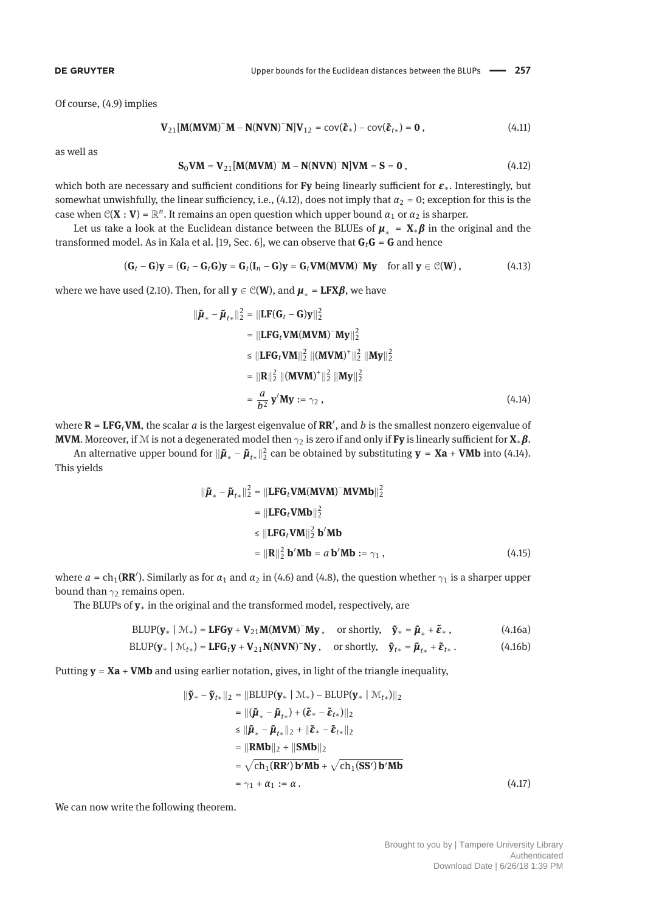Of course, (4.9) implies

$$
\mathbf{V}_{21}[\mathbf{M}(\mathbf{M}\mathbf{V}\mathbf{M})^-\mathbf{M}-\mathbf{N}(\mathbf{N}\mathbf{V}\mathbf{N})^-\mathbf{N}]\mathbf{V}_{12}=\text{cov}(\tilde{\boldsymbol{\varepsilon}}_*)-\text{cov}(\tilde{\boldsymbol{\varepsilon}}_{t*})=\mathbf{0},\qquad(4.11)
$$

as well as

$$
S_0VM = V_{21}[M(MVM)^{-}M - N(NVN)^{-}N]VM = S = 0,
$$
\n(4.12)

which both are necessary and sufficient conditions for **Fy** being linearly sufficient for *<sup>ε</sup>*∗. Interestingly, but somewhat unwishfully, the linear sufficiency, i.e., (4.12), does not imply that  $\alpha_2 = 0$ ; exception for this is the case when  $C(X : V) = \mathbb{R}^n$ . It remains an open question which upper bound  $\alpha_1$  or  $\alpha_2$  is sharper.

Let us take a look at the Euclidean distance between the BLUEs of  $\mu_* = X_*\beta$  in the original and the transformed model. As in Kala et al. [19, Sec. 6], we can observe that **G***t***G** = **G** and hence

$$
(\mathbf{G}_t - \mathbf{G})\mathbf{y} = (\mathbf{G}_t - \mathbf{G}_t\mathbf{G})\mathbf{y} = \mathbf{G}_t(\mathbf{I}_n - \mathbf{G})\mathbf{y} = \mathbf{G}_t\mathbf{VM}(\mathbf{M}\mathbf{V}\mathbf{M})^{\top}\mathbf{M}\mathbf{y} \quad \text{for all } \mathbf{y} \in \mathcal{C}(\mathbf{W})\,,\tag{4.13}
$$

where we have used (2.10). Then, for all  $y \in \mathcal{C}(W)$ , and  $\mu_* = \textbf{LFX}\beta$ , we have

$$
\|\tilde{\boldsymbol{\mu}}_{*} - \tilde{\boldsymbol{\mu}}_{t*}\|_{2}^{2} = \|\mathbf{LF}(\mathbf{G}_{t} - \mathbf{G})\mathbf{y}\|_{2}^{2}
$$
  
\n
$$
= \|\mathbf{LF}\mathbf{G}_{t}\mathbf{VM}(\mathbf{M}\mathbf{VM})^{-}\mathbf{My}\|_{2}^{2}
$$
  
\n
$$
\leq \|\mathbf{LF}\mathbf{G}_{t}\mathbf{VM}\|_{2}^{2} \|(\mathbf{M}\mathbf{VM})^{+}\|_{2}^{2} \|\mathbf{My}\|_{2}^{2}
$$
  
\n
$$
= \|\mathbf{R}\|_{2}^{2} \|(\mathbf{M}\mathbf{VM})^{+}\|_{2}^{2} \|\mathbf{My}\|_{2}^{2}
$$
  
\n
$$
= \frac{a}{b^{2}} \mathbf{y}'\mathbf{My} := \gamma_{2}, \qquad (4.14)
$$

where  $\mathbf{R} = \mathbf{LFG}_t \mathbf{VM}$ , the scalar  $a$  is the largest eigenvalue of  $\mathbf{RR}'$ , and  $b$  is the smallest nonzero eigenvalue of **MVM**. Moreover, if <sup>M</sup> is not a degenerated model then <sup>γ</sup><sup>2</sup> is zero if and only if **Fy** is linearly sufficient for **<sup>X</sup>**∗*β*.

An alternative upper bound for  $\|\tilde{\boldsymbol{\mu}}_* - \tilde{\boldsymbol{\mu}}_{t*}\|^2_2$  can be obtained by substituting  $\mathbf{y} = \mathbf{X}\mathbf{a} + \mathbf{V}\mathbf{M}\mathbf{b}$  into (4.14). This yields

$$
\|\tilde{\boldsymbol{\mu}}_{*} - \tilde{\boldsymbol{\mu}}_{t*}\|_{2}^{2} = \|\mathbf{LFG}_{t} \mathbf{VM}(\mathbf{MVM})^{-} \mathbf{MVMb}\|_{2}^{2}
$$
  
\n
$$
= \|\mathbf{LFG}_{t} \mathbf{VMb}\|_{2}^{2}
$$
  
\n
$$
\leq \|\mathbf{LFG}_{t} \mathbf{VM}\|_{2}^{2} \mathbf{b}' \mathbf{Mb}
$$
  
\n
$$
= \|\mathbf{R}\|_{2}^{2} \mathbf{b}' \mathbf{Mb} = a \mathbf{b}' \mathbf{Mb} := \gamma_{1}, \qquad (4.15)
$$

where  $a = \text{ch}_1(\mathbf{RR'})$ . Similarly as for  $\alpha_1$  and  $\alpha_2$  in (4.6) and (4.8), the question whether  $\gamma_1$  is a sharper upper bound than  $\gamma_2$  remains open.

The BLUPs of **y**<sup>∗</sup> in the original and the transformed model, respectively, are

$$
BLUP(\mathbf{y}_{*} \mid \mathcal{M}_{*}) = \mathbf{LFGy} + \mathbf{V}_{21} \mathbf{M} (\mathbf{MVM})^{-} \mathbf{My}, \quad \text{or shortly}, \quad \tilde{\mathbf{y}}_{*} = \tilde{\boldsymbol{\mu}}_{*} + \tilde{\boldsymbol{\epsilon}}_{*} \,, \tag{4.16a}
$$

$$
BLUP(\mathbf{y}_{*} \mid \mathcal{M}_{t*}) = \mathbf{LFG}_{t}\mathbf{y} + \mathbf{V}_{21}\mathbf{N}(\mathbf{N}\mathbf{V}\mathbf{N})^{\top}\mathbf{N}\mathbf{y}, \text{ or shortly, } \tilde{\mathbf{y}}_{t*} = \tilde{\boldsymbol{\mu}}_{t*} + \tilde{\boldsymbol{\varepsilon}}_{t*}. \tag{4.16b}
$$

Putting **y** = **Xa** + **VMb** and using earlier notation, gives, in light of the triangle inequality,

$$
\|\tilde{\mathbf{y}}_{*} - \tilde{\mathbf{y}}_{t*}\|_{2} = \|\text{BLUP}(\mathbf{y}_{*} \mid \mathcal{M}_{*}) - \text{BLUP}(\mathbf{y}_{*} \mid \mathcal{M}_{t*})\|_{2}
$$
\n
$$
= \|(\tilde{\boldsymbol{\mu}}_{*} - \tilde{\boldsymbol{\mu}}_{t*}) + (\tilde{\boldsymbol{\varepsilon}}_{*} - \tilde{\boldsymbol{\varepsilon}}_{t*})\|_{2}
$$
\n
$$
\leq \|\tilde{\boldsymbol{\mu}}_{*} - \tilde{\boldsymbol{\mu}}_{t*}\|_{2} + \|\tilde{\boldsymbol{\varepsilon}}_{*} - \tilde{\boldsymbol{\varepsilon}}_{t*}\|_{2}
$$
\n
$$
= \|\text{RMD}\|_{2} + \|\text{SMD}\|_{2}
$$
\n
$$
= \sqrt{\text{ch}_{1}(\text{RR'})\mathbf{b'}\text{Mb}} + \sqrt{\text{ch}_{1}(\text{SS'})\mathbf{b'}\text{Mb}}
$$
\n
$$
= \gamma_{1} + \alpha_{1} := \alpha. \tag{4.17}
$$

We can now write the following theorem.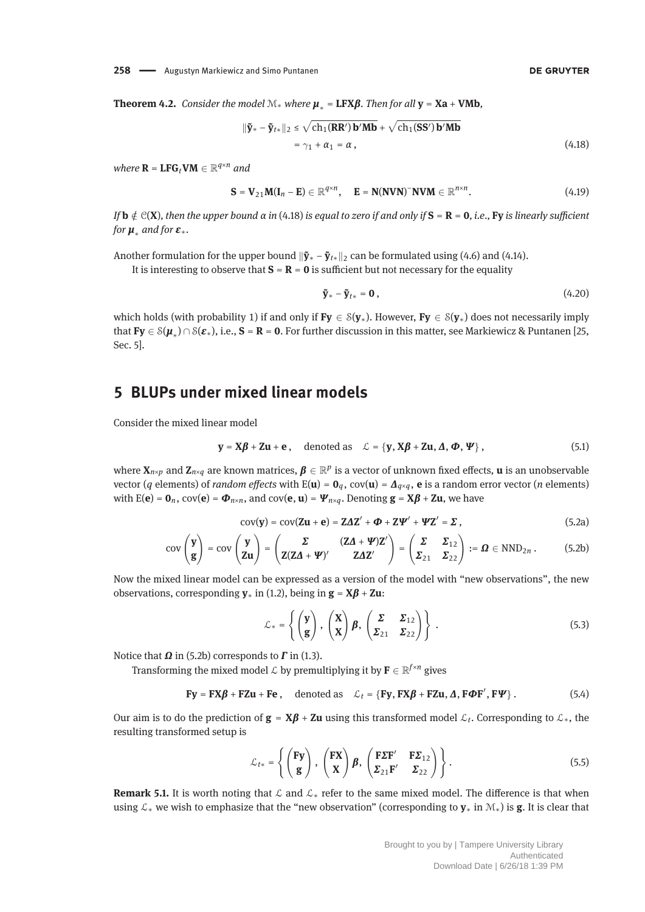**Theorem 4.2.** *Consider the model*  $M_*$  *where*  $\mu_* = LFX\beta$ *. Then for all*  $y = Xa + VMb$ ,

$$
\|\tilde{\mathbf{y}}_{*} - \tilde{\mathbf{y}}_{t*}\|_{2} \leq \sqrt{\mathbf{c}h_{1}(\mathbf{RR'})\,\mathbf{b}'\mathbf{Mb}} + \sqrt{\mathbf{c}h_{1}(\mathbf{SS'})\,\mathbf{b}'\mathbf{Mb}} \\ = \gamma_{1} + \alpha_{1} = \alpha \,, \tag{4.18}
$$

*where*  $\mathbf{R} = \mathbf{LFG}_t \mathbf{VM} \in \mathbb{R}^{q \times n}$  and

$$
\mathbf{S} = \mathbf{V}_{21} \mathbf{M} (\mathbf{I}_n - \mathbf{E}) \in \mathbb{R}^{q \times n}, \quad \mathbf{E} = \mathbf{N} (\mathbf{N} \mathbf{V} \mathbf{N})^{\top} \mathbf{N} \mathbf{V} \mathbf{M} \in \mathbb{R}^{n \times n}.
$$
 (4.19)

*If* **b**  $\notin$   $\mathcal{C}(\mathbf{X})$ *, then the upper bound α in* (4.18) *is equal to zero if and only if*  $\mathbf{S} = \mathbf{R} = \mathbf{0}$ *, i.e.,* Fy *is linearly sufficient for <sup>μ</sup>*<sup>∗</sup> *and for <sup>ε</sup>*∗*.*

Another formulation for the upper bound  $\|\tilde{\mathbf{y}}_* - \tilde{\mathbf{y}}_{t*}\|_2$  can be formulated using (4.6) and (4.14).

It is interesting to observe that  $S = R = 0$  is sufficient but not necessary for the equality

$$
\tilde{\mathbf{y}}_{*} - \tilde{\mathbf{y}}_{t*} = \mathbf{0},\tag{4.20}
$$

which holds (with probability 1) if and only if **Fy**  $\in S(\mathbf{y}_*)$ . However, **Fy**  $\in S(\mathbf{y}_*)$  does not necessarily imply that  $\mathbf{Fy} \in \mathcal{S}(\mu_*) \cap \mathcal{S}(\varepsilon_*)$ , i.e.,  $\mathbf{S} = \mathbf{R} = \mathbf{0}$ . For further discussion in this matter, see Markiewicz & Puntanen [25, Sec. 5].

### **5 BLUPs under mixed linear models**

Consider the mixed linear model

$$
\mathbf{y} = \mathbf{X}\boldsymbol{\beta} + \mathbf{Z}\mathbf{u} + \mathbf{e} \,, \quad \text{denoted as} \quad \mathcal{L} = \{\mathbf{y}, \mathbf{X}\boldsymbol{\beta} + \mathbf{Z}\mathbf{u}, \boldsymbol{\Delta}, \boldsymbol{\Phi}, \boldsymbol{\Psi}\}\,,
$$
 (5.1)

where  $X_{n\times p}$  and  $Z_{n\times q}$  are known matrices,  $\beta \in \mathbb{R}^p$  is a vector of unknown fixed effects, **u** is an unobservable vector (*q* elements) of *random effects* with  $E(\mathbf{u}) = \mathbf{0}_q$ ,  $cov(\mathbf{u}) = \mathbf{\Lambda}_{q \times q}$ , **e** is a random error vector (*n* elements) with  $E(e) = \mathbf{0}_n$ ,  $cov(e) = \mathbf{\Phi}_{n \times n}$ , and  $cov(e, \mathbf{u}) = \mathbf{\Psi}_{n \times q}$ . Denoting  $\mathbf{g} = \mathbf{X}\boldsymbol{\beta} + \mathbf{Z}\mathbf{u}$ , we have

$$
cov(\mathbf{y}) = cov(\mathbf{Zu} + \mathbf{e}) = \mathbf{Z\Delta Z'} + \mathbf{\Phi} + \mathbf{Z}\mathbf{\Psi'} + \mathbf{\Psi Z'} = \mathbf{\Sigma} \,, \tag{5.2a}
$$

$$
cov\begin{pmatrix}\mathbf{y}\\ \mathbf{g}\end{pmatrix} = cov\begin{pmatrix}\mathbf{y}\\ \mathbf{Zu}\end{pmatrix} = \begin{pmatrix}\Sigma & (\mathbf{Z}\Delta + \mathbf{\Psi})\mathbf{Z}'\\ \mathbf{Z}(\mathbf{Z}\Delta + \mathbf{\Psi})' & \mathbf{Z}\Delta\mathbf{Z}'\end{pmatrix} = \begin{pmatrix}\Sigma & \Sigma_{12}\\ \Sigma_{21} & \Sigma_{22}\end{pmatrix} := \mathbf{\Omega} \in \text{NND}_{2n}.
$$
 (5.2b)

Now the mixed linear model can be expressed as a version of the model with "new observations", the new observations, corresponding **<sup>y</sup>**<sup>∗</sup> in (1.2), being in **<sup>g</sup>** <sup>=</sup> **<sup>X</sup>***<sup>β</sup>* <sup>+</sup> **Zu**:

$$
\mathcal{L}_{*} = \left\{ \begin{pmatrix} \mathbf{y} \\ \mathbf{g} \end{pmatrix}, \begin{pmatrix} \mathbf{X} \\ \mathbf{X} \end{pmatrix} \boldsymbol{\beta}, \begin{pmatrix} \boldsymbol{\Sigma} & \boldsymbol{\Sigma}_{12} \\ \boldsymbol{\Sigma}_{21} & \boldsymbol{\Sigma}_{22} \end{pmatrix} \right\}.
$$
 (5.3)

Notice that *Ω* in (5.2b) corresponds to *Γ* in (1.3).

Transforming the mixed model  $\mathcal{L}$  by premultiplying it by  $\mathbf{F} \in \mathbb{R}^{f \times n}$  gives

 $\mathbf{Fy} = \mathbf{FX}\boldsymbol{\beta} + \mathbf{FZu} + \mathbf{Fe}$ , denoted as  $\mathcal{L}_t = {\mathbf{Fy}, \mathbf{FX}\boldsymbol{\beta} + \mathbf{FZu}, \boldsymbol{\Delta}, \mathbf{F\Phi F', \mathbf{F}\Psi}}$ . (5.4)

Our aim is to do the prediction of  $\mathbf{g} = \mathbf{X}\boldsymbol{\beta} + \mathbf{Z}\mathbf{u}$  using this transformed model  $\mathcal{L}_t$ . Corresponding to  $\mathcal{L}_*$ , the resulting transformed setup is

$$
\mathcal{L}_{t*} = \left\{ \begin{pmatrix} \mathbf{Fy} \\ \mathbf{g} \end{pmatrix}, \begin{pmatrix} \mathbf{FX} \\ \mathbf{X} \end{pmatrix} \boldsymbol{\beta}, \begin{pmatrix} \mathbf{F\Sigma F'} & \mathbf{F\Sigma}_{12} \\ \mathbf{\Sigma}_{21} \mathbf{F'} & \mathbf{\Sigma}_{22} \end{pmatrix} \right\}.
$$
 (5.5)

**Remark 5.1.** It is worth noting that L and L<sub>∗</sub> refer to the same mixed model. The difference is that when using L<sup>∗</sup> we wish to emphasize that the "new observation" (corresponding to **y**<sup>∗</sup> in M∗) is **g**. It is clear that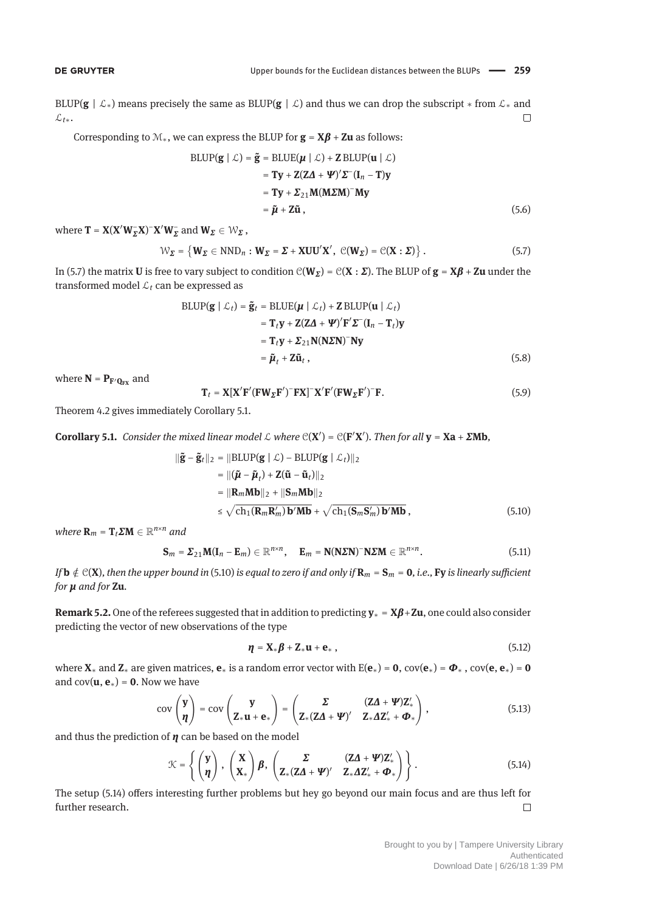BLUP(**g** |  $\mathcal{L}_*$ ) means precisely the same as BLUP(**g** |  $\mathcal{L}$ ) and thus we can drop the subscript  $*$  from  $\mathcal{L}_*$  and L*t*∗.  $\Box$ 

Corresponding to  $M_*$ , we can express the BLUP for  $\mathbf{g} = \mathbf{X}\boldsymbol{\beta} + \mathbf{Z}\mathbf{u}$  as follows:

$$
BLUP(g \mid \mathcal{L}) = \tilde{g} = BLUE(\mu \mid \mathcal{L}) + Z BLUP(u \mid \mathcal{L})
$$
  
=  $Ty + Z(Z\Delta + \Psi)' \Sigma^-(I_n - T)y$   
=  $Ty + \Sigma_{21}M(M\Sigma M)^-My$   
=  $\tilde{\mu} + Z\tilde{u}$ , (5.6)

where  $\mathbf{T} = \mathbf{X} (\mathbf{X}' \mathbf{W}_{\Sigma}^- \mathbf{X})^- \mathbf{X}' \mathbf{W}_{\Sigma}^-$  and  $\mathbf{W}_{\Sigma} \in \mathcal{W}_{\Sigma}$ ,

$$
\mathcal{W}_{\Sigma} = \{ \mathbf{W}_{\Sigma} \in \mathrm{NND}_{n} : \mathbf{W}_{\Sigma} = \Sigma + \mathbf{XUU}^{\prime} \mathbf{X}^{\prime}, \ \mathcal{C}(\mathbf{W}_{\Sigma}) = \mathcal{C}(\mathbf{X} : \Sigma) \} .
$$
 (5.7)

In (5.7) the matrix **U** is free to vary subject to condition  $C(W_{\mathbf{\Sigma}}) = C(\mathbf{X} : \mathbf{\Sigma})$ . The BLUP of  $\mathbf{g} = \mathbf{X}\boldsymbol{\beta} + \mathbf{Z}\mathbf{u}$  under the transformed model  $\mathcal{L}_t$  can be expressed as

$$
\begin{aligned} \text{BLUP}(\mathbf{g} \mid \mathcal{L}_t) &= \tilde{\mathbf{g}}_t = \text{BLUE}(\boldsymbol{\mu} \mid \mathcal{L}_t) + \mathbf{Z} \text{BLUP}(\mathbf{u} \mid \mathcal{L}_t) \\ &= \mathbf{T}_t \mathbf{y} + \mathbf{Z} (\mathbf{Z} \mathbf{\Delta} + \mathbf{\Psi})' \mathbf{F}' \mathbf{\Sigma}^-(\mathbf{I}_n - \mathbf{T}_t) \mathbf{y} \\ &= \mathbf{T}_t \mathbf{y} + \mathbf{\Sigma}_{21} \mathbf{N} (\mathbf{N} \mathbf{\Sigma} \mathbf{N})^- \mathbf{N} \mathbf{y} \\ &= \tilde{\boldsymbol{\mu}}_t + \mathbf{Z} \tilde{\mathbf{u}}_t \,, \end{aligned} \tag{5.8}
$$

where  $N = P_{F'Q_{FX}}$  and

$$
\mathbf{T}_t = \mathbf{X} [\mathbf{X}' \mathbf{F}' (\mathbf{F} \mathbf{W}_{\Sigma} \mathbf{F}')^{-} \mathbf{F} \mathbf{X}]^{-} \mathbf{X}' \mathbf{F}' (\mathbf{F} \mathbf{W}_{\Sigma} \mathbf{F}')^{-} \mathbf{F}.
$$
 (5.9)

Theorem 4.2 gives immediately Corollary 5.1.

**Corollary 5.1.** *Consider the mixed linear model*  $\mathcal{L}$  *where*  $\mathcal{C}(X') = \mathcal{C}(F'X')$ *. Then for all*  $y = Xa + \Sigma Mb$ *,* 

$$
\|\tilde{\mathbf{g}} - \tilde{\mathbf{g}}_t\|_2 = \|\text{BLUP}(\mathbf{g} \mid \mathcal{L}) - \text{BLUP}(\mathbf{g} \mid \mathcal{L}_t)\|_2
$$
  
\n
$$
= \|(\tilde{\boldsymbol{\mu}} - \tilde{\boldsymbol{\mu}}_t) + \mathbf{Z}(\tilde{\mathbf{u}} - \tilde{\mathbf{u}}_t)\|_2
$$
  
\n
$$
= \|R_m \mathbf{M} \mathbf{b}\|_2 + \|S_m \mathbf{M} \mathbf{b}\|_2
$$
  
\n
$$
\leq \sqrt{\text{ch}_1(\mathbf{R}_m \mathbf{R}_m') \mathbf{b}' \mathbf{M} \mathbf{b}} + \sqrt{\text{ch}_1(\mathbf{S}_m \mathbf{S}_m') \mathbf{b}' \mathbf{M} \mathbf{b}} \,,
$$
 (5.10)

*where*  $\mathbf{R}_m = \mathbf{T}_t \Sigma \mathbf{M} \in \mathbb{R}^{n \times n}$  and

$$
\mathbf{S}_m = \boldsymbol{\Sigma}_{21} \mathbf{M} (\mathbf{I}_n - \mathbf{E}_m) \in \mathbb{R}^{n \times n}, \quad \mathbf{E}_m = \mathbf{N} (\mathbf{N} \boldsymbol{\Sigma} \mathbf{N})^- \mathbf{N} \boldsymbol{\Sigma} \mathbf{M} \in \mathbb{R}^{n \times n}.
$$
 (5.11)

*If*  $\bf{b} \notin C(X)$ , then the upper bound in (5.10) is equal to zero if and only if  $\bf{R}_m = S_m = 0$ , i.e., Fy is linearly sufficient *for μ and for* **Zu***.*

**Remark 5.2.**One of the referees suggested that in addition to predicting **<sup>y</sup>**<sup>∗</sup> <sup>=</sup> **<sup>X</sup>***β*+**Zu**, one could also consider predicting the vector of new observations of the type

$$
\eta = \mathbf{X}_* \boldsymbol{\beta} + \mathbf{Z}_* \mathbf{u} + \mathbf{e}_*, \qquad (5.12)
$$

where  $X_*$  and  $Z_*$  are given matrices,  $e_*$  is a random error vector with  $E(e_*) = 0$ ,  $cov(e_*) = \Phi_*$ ,  $cov(e, e_*) = 0$ and  $cov(\mathbf{u}, \mathbf{e}_*) = \mathbf{0}$ . Now we have

$$
cov\begin{pmatrix} y \\ \eta \end{pmatrix} = cov\begin{pmatrix} y \\ Z_{*}u + e_{*} \end{pmatrix} = \begin{pmatrix} \Sigma & (ZA + \Psi)Z'_{*} \\ Z_{*}(ZA + \Psi)' & Z_{*}AZ'_{*} + \Phi_{*} \end{pmatrix},
$$
(5.13)

and thus the prediction of *η* can be based on the model

$$
\mathcal{K} = \left\{ \begin{pmatrix} \mathbf{y} \\ \mathbf{\eta} \end{pmatrix}, \begin{pmatrix} \mathbf{X} \\ \mathbf{X}_* \end{pmatrix} \boldsymbol{\beta}, \begin{pmatrix} \boldsymbol{\Sigma} & (\mathbf{Z}\boldsymbol{\Delta} + \boldsymbol{\Psi})\mathbf{Z}'_{*} \\ \mathbf{Z}_{*}(\mathbf{Z}\boldsymbol{\Delta} + \boldsymbol{\Psi})' & \mathbf{Z}_{*}\boldsymbol{\Delta}\mathbf{Z}'_{*} + \boldsymbol{\Phi}_{*} \end{pmatrix} \right\}.
$$
 (5.14)

The setup (5.14) offers interesting further problems but hey go beyond our main focus and are thus left for further research.  $\Box$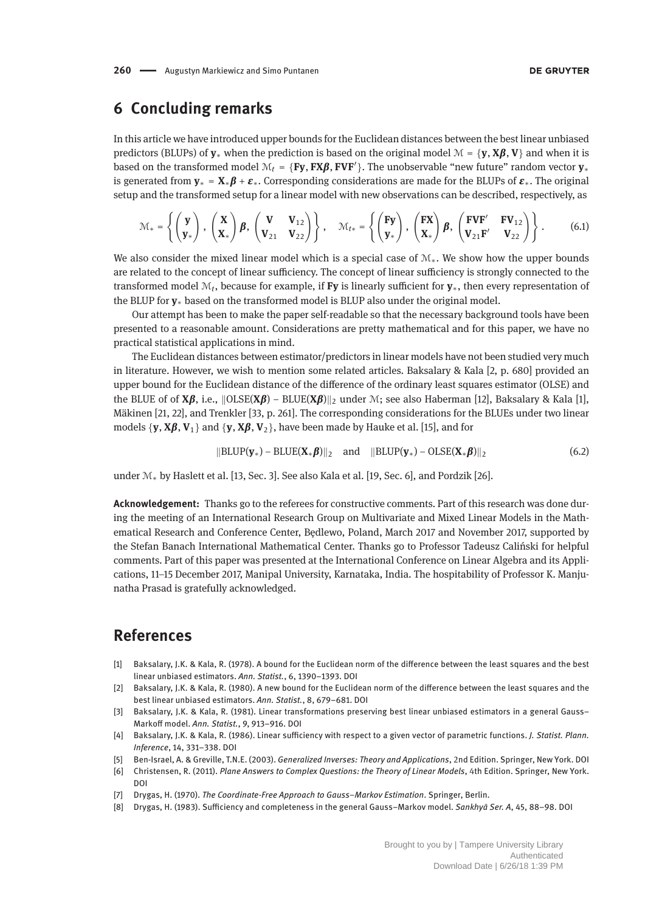### **6 Concluding remarks**

In this article we have introduced upper bounds for the Euclidean distances between the best linear unbiased predictors (BLUPs) of  $y^*$  when the prediction is based on the original model  $M = \{y, X\beta, V\}$  and when it is based on the transformed model  $\mathcal{M}_t = \{ \text{Fy}, \text{FX}\beta, \text{FVF'} \}$ . The unobservable "new future" random vector  $y_*$ is generated from  $\mathbf{y}_* = \mathbf{X}_* \boldsymbol{\beta} + \boldsymbol{\varepsilon}_*$ . Corresponding considerations are made for the BLUPs of  $\boldsymbol{\varepsilon}_*$ . The original setup and the transformed setup for a linear model with new observations can be described, respectively, as

$$
\mathcal{M}_{*} = \left\{ \begin{pmatrix} \mathbf{y} \\ \mathbf{y}_{*} \end{pmatrix}, \begin{pmatrix} \mathbf{X} \\ \mathbf{X}_{*} \end{pmatrix} \boldsymbol{\beta}, \begin{pmatrix} \mathbf{V} & \mathbf{V}_{12} \\ \mathbf{V}_{21} & \mathbf{V}_{22} \end{pmatrix} \right\}, \quad \mathcal{M}_{t*} = \left\{ \begin{pmatrix} \mathbf{F}\mathbf{y} \\ \mathbf{y}_{*} \end{pmatrix}, \begin{pmatrix} \mathbf{FX} \\ \mathbf{X}_{*} \end{pmatrix} \boldsymbol{\beta}, \begin{pmatrix} \mathbf{F}\mathbf{VF'} & \mathbf{F}\mathbf{V}_{12} \\ \mathbf{V}_{21}\mathbf{F'} & \mathbf{V}_{22} \end{pmatrix} \right\}.
$$
 (6.1)

We also consider the mixed linear model which is a special case of M∗. We show how the upper bounds are related to the concept of linear sufficiency. The concept of linear sufficiency is strongly connected to the transformed model M*t*, because for example, if **Fy** is linearly sufficient for **y**∗, then every representation of the BLUP for **y**<sup>∗</sup> based on the transformed model is BLUP also under the original model.

Our attempt has been to make the paper self-readable so that the necessary background tools have been presented to a reasonable amount. Considerations are pretty mathematical and for this paper, we have no practical statistical applications in mind.

The Euclidean distances between estimator/predictors in linear models have not been studied very much in literature. However, we wish to mention some related articles. Baksalary & Kala [2, p. 680] provided an upper bound for the Euclidean distance of the difference of the ordinary least squares estimator (OLSE) and the BLUE of of **X***β*, i.e.,  $\|\text{OLSE}(X\beta) - \text{BLUE}(X\beta)\|_2$  under M; see also Haberman [12], Baksalary & Kala [1], Mäkinen [21, 22], and Trenkler [33, p. 261]. The corresponding considerations for the BLUEs under two linear models {**y**, **<sup>X</sup>***β*, **<sup>V</sup>**1} and {**y**, **<sup>X</sup>***β*, **<sup>V</sup>**2}, have been made by Hauke et al. [15], and for

$$
\|\text{BLUP}(\mathbf{y}_*) - \text{BLUE}(\mathbf{X}_*\boldsymbol{\beta})\|_2 \quad \text{and} \quad \|\text{BLUP}(\mathbf{y}_*) - \text{OLSE}(\mathbf{X}_*\boldsymbol{\beta})\|_2 \tag{6.2}
$$

under M<sup>∗</sup> by Haslett et al. [13, Sec. 3]. See also Kala et al. [19, Sec. 6], and Pordzik [26].

**Acknowledgement:** Thanks go to the referees for constructive comments. Part of this research was done during the meeting of an International Research Group on Multivariate and Mixed Linear Models in the Mathematical Research and Conference Center, Bedlewo, Poland, March 2017 and November 2017, supported by the Stefan Banach International Mathematical Center. Thanks go to Professor Tadeusz Caliński for helpful comments. Part of this paper was presented at the International Conference on Linear Algebra and its Applications, 11–15 December 2017, Manipal University, Karnataka, India. The hospitability of Professor K. Manjunatha Prasad is gratefully acknowledged.

### **References**

- [1] Baksalary, J.K. & Kala, R. (1978). A bound for the Euclidean norm of the difference between the least squares and the best linear unbiased estimators. *Ann. Statist.*, 6, 1390–1393. DOI
- [2] Baksalary, J.K. & Kala, R. (1980). A new bound for the Euclidean norm of the difference between the least squares and the best linear unbiased estimators. *Ann. Statist.*, 8, 679–681. DOI
- [3] Baksalary, J.K. & Kala, R. (1981). Linear transformations preserving best linear unbiased estimators in a general Gauss– Markoff model. *Ann. Statist.*, 9, 913–916. DOI
- [4] Baksalary, J.K. & Kala, R. (1986). Linear sufficiency with respect to a given vector of parametric functions. *J. Statist. Plann. Inference*, 14, 331–338. DOI
- [5] Ben-Israel, A. & Greville, T.N.E. (2003). *Generalized Inverses: Theory and Applications*, 2nd Edition. Springer, New York. DOI
- [6] Christensen, R. (2011). *Plane Answers to Complex Questions: the Theory of Linear Models*, 4th Edition. Springer, New York. DOI
- [7] Drygas, H. (1970). *The Coordinate-Free Approach to Gauss–Markov Estimation*. Springer, Berlin.
- [8] Drygas, H. (1983). Sufficiency and completeness in the general Gauss–Markov model. *Sankhyā Ser. A*, 45, 88–98. DOI